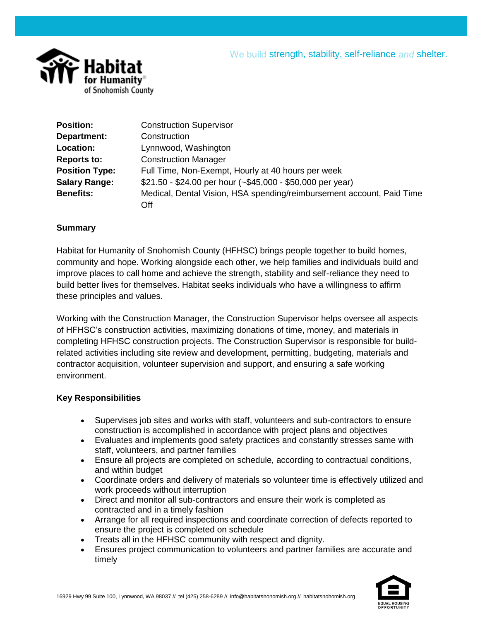

| <b>Position:</b>      | <b>Construction Supervisor</b>                                        |
|-----------------------|-----------------------------------------------------------------------|
| Department:           | Construction                                                          |
| Location:             | Lynnwood, Washington                                                  |
| <b>Reports to:</b>    | <b>Construction Manager</b>                                           |
| <b>Position Type:</b> | Full Time, Non-Exempt, Hourly at 40 hours per week                    |
| <b>Salary Range:</b>  | $$21.50 - $24.00$ per hour (~\$45,000 - \$50,000 per year)            |
| <b>Benefits:</b>      | Medical, Dental Vision, HSA spending/reimbursement account, Paid Time |
|                       | Off                                                                   |

### **Summary**

Habitat for Humanity of Snohomish County (HFHSC) brings people together to build homes, community and hope. Working alongside each other, we help families and individuals build and improve places to call home and achieve the strength, stability and self-reliance they need to build better lives for themselves. Habitat seeks individuals who have a willingness to affirm these principles and values.

Working with the Construction Manager, the Construction Supervisor helps oversee all aspects of HFHSC's construction activities, maximizing donations of time, money, and materials in completing HFHSC construction projects. The Construction Supervisor is responsible for buildrelated activities including site review and development, permitting, budgeting, materials and contractor acquisition, volunteer supervision and support, and ensuring a safe working environment.

#### **Key Responsibilities**

- Supervises job sites and works with staff, volunteers and sub-contractors to ensure construction is accomplished in accordance with project plans and objectives
- Evaluates and implements good safety practices and constantly stresses same with staff, volunteers, and partner families
- Ensure all projects are completed on schedule, according to contractual conditions, and within budget
- Coordinate orders and delivery of materials so volunteer time is effectively utilized and work proceeds without interruption
- Direct and monitor all sub-contractors and ensure their work is completed as contracted and in a timely fashion
- Arrange for all required inspections and coordinate correction of defects reported to ensure the project is completed on schedule
- Treats all in the HFHSC community with respect and dignity.
- Ensures project communication to volunteers and partner families are accurate and timely

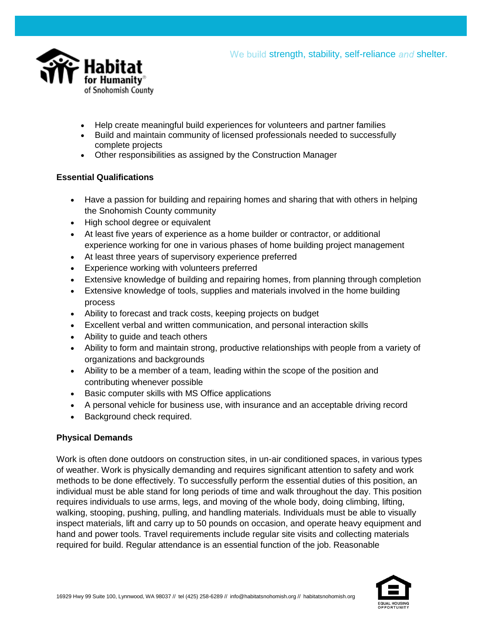



- Help create meaningful build experiences for volunteers and partner families
- Build and maintain community of licensed professionals needed to successfully complete projects
- Other responsibilities as assigned by the Construction Manager

## **Essential Qualifications**

- Have a passion for building and repairing homes and sharing that with others in helping the Snohomish County community
- High school degree or equivalent
- At least five years of experience as a home builder or contractor, or additional experience working for one in various phases of home building project management
- At least three years of supervisory experience preferred
- Experience working with volunteers preferred
- Extensive knowledge of building and repairing homes, from planning through completion
- Extensive knowledge of tools, supplies and materials involved in the home building process
- Ability to forecast and track costs, keeping projects on budget
- Excellent verbal and written communication, and personal interaction skills
- Ability to guide and teach others
- Ability to form and maintain strong, productive relationships with people from a variety of organizations and backgrounds
- Ability to be a member of a team, leading within the scope of the position and contributing whenever possible
- Basic computer skills with MS Office applications
- A personal vehicle for business use, with insurance and an acceptable driving record
- Background check required.

# **Physical Demands**

Work is often done outdoors on construction sites, in un-air conditioned spaces, in various types of weather. Work is physically demanding and requires significant attention to safety and work methods to be done effectively. To successfully perform the essential duties of this position, an individual must be able stand for long periods of time and walk throughout the day. This position requires individuals to use arms, legs, and moving of the whole body, doing climbing, lifting, walking, stooping, pushing, pulling, and handling materials. Individuals must be able to visually inspect materials, lift and carry up to 50 pounds on occasion, and operate heavy equipment and hand and power tools. Travel requirements include regular site visits and collecting materials required for build. Regular attendance is an essential function of the job. Reasonable